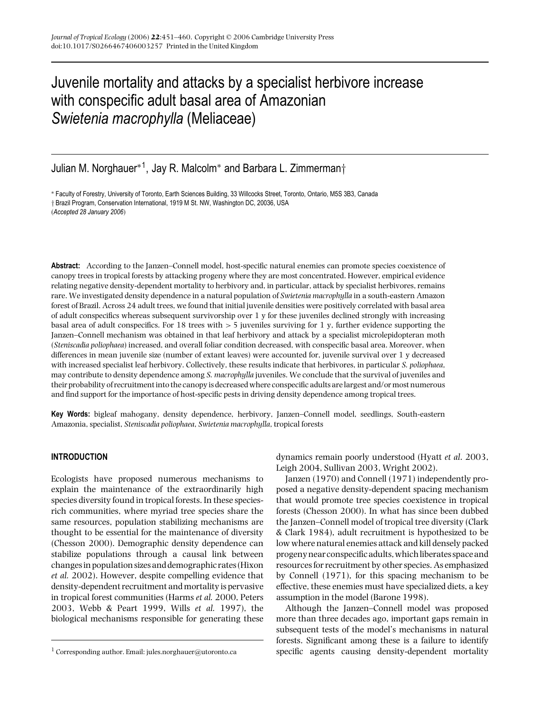# Juvenile mortality and attacks by a specialist herbivore increase with conspecific adult basal area of Amazonian *Swietenia macrophylla* (Meliaceae)

Julian M. Norghauer∗<sup>1</sup> , Jay R. Malcolm<sup>∗</sup> and Barbara L. Zimmerman†

∗ Faculty of Forestry, University of Toronto, Earth Sciences Building, 33 Willcocks Street, Toronto, Ontario, M5S 3B3, Canada † Brazil Program, Conservation International, 1919 M St. NW, Washington DC, 20036, USA (*Accepted 28 January 2006*)

**Abstract:** According to the Janzen–Connell model, host-specific natural enemies can promote species coexistence of canopy trees in tropical forests by attacking progeny where they are most concentrated. However, empirical evidence relating negative density-dependent mortality to herbivory and, in particular, attack by specialist herbivores, remains rare. We investigated density dependence in a natural population of *Swietenia macrophylla* in a south-eastern Amazon forest of Brazil. Across 24 adult trees, we found that initial juvenile densities were positively correlated with basal area of adult conspecifics whereas subsequent survivorship over 1 y for these juveniles declined strongly with increasing basal area of adult conspecifics. For 18 trees with > 5 juveniles surviving for 1 y, further evidence supporting the Janzen–Connell mechanism was obtained in that leaf herbivory and attack by a specialist microlepidopteran moth (*Steniscadia poliophaea*) increased, and overall foliar condition decreased, with conspecific basal area. Moreover, when differences in mean juvenile size (number of extant leaves) were accounted for, juvenile survival over 1 y decreased with increased specialist leaf herbivory. Collectively, these results indicate that herbivores, in particular *S. poliophaea*, may contribute to density dependence among *S. macrophylla* juveniles. We conclude that the survival of juveniles and their probability of recruitment into the canopy is decreased where conspecific adults are largest and/or most numerous and find support for the importance of host-specific pests in driving density dependence among tropical trees.

**Key Words:** bigleaf mahogany, density dependence, herbivory, Janzen–Connell model, seedlings, South-eastern Amazonia, specialist, *Steniscadia poliophaea*, *Swietenia macrophylla*, tropical forests

# **INTRODUCTION**

Ecologists have proposed numerous mechanisms to explain the maintenance of the extraordinarily high species diversity found in tropical forests. In these speciesrich communities, where myriad tree species share the same resources, population stabilizing mechanisms are thought to be essential for the maintenance of diversity (Chesson 2000). Demographic density dependence can stabilize populations through a causal link between changesin population sizes and demographic rates (Hixon *et al.* 2002). However, despite compelling evidence that density-dependent recruitment and mortality is pervasive in tropical forest communities (Harms *et al.* 2000, Peters 2003, Webb & Peart 1999, Wills *et al.* 1997), the biological mechanisms responsible for generating these dynamics remain poorly understood (Hyatt *et al*. 2003, Leigh 2004, Sullivan 2003, Wright 2002).

Janzen (1970) and Connell (1971) independently proposed a negative density-dependent spacing mechanism that would promote tree species coexistence in tropical forests (Chesson 2000). In what has since been dubbed the Janzen–Connell model of tropical tree diversity (Clark & Clark 1984), adult recruitment is hypothesized to be low where natural enemies attack and kill densely packed progenynearconspecific adults,whichliberates space and resources for recruitment by other species. As emphasized by Connell (1971), for this spacing mechanism to be effective, these enemies must have specialized diets, a key assumption in the model (Barone 1998).

Although the Janzen–Connell model was proposed more than three decades ago, important gaps remain in subsequent tests of the model's mechanisms in natural forests. Significant among these is a failure to identify specific agents causing density-dependent mortality

<sup>&</sup>lt;sup>1</sup> Corresponding author. Email: jules.norghauer@utoronto.ca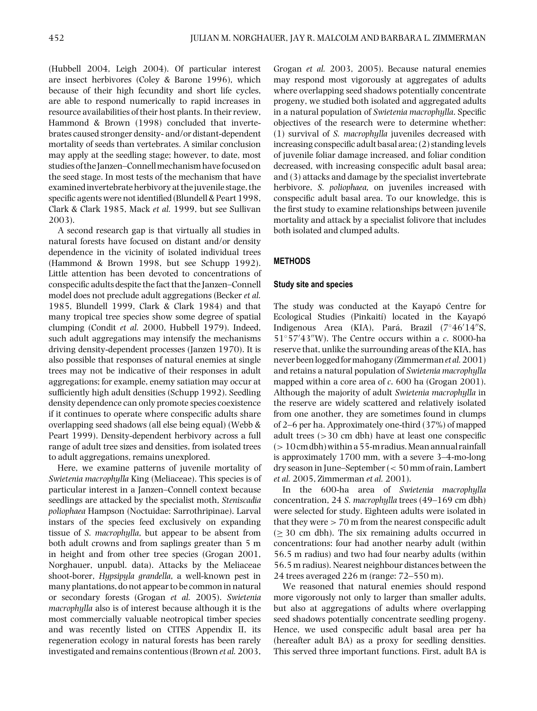(Hubbell 2004, Leigh 2004). Of particular interest are insect herbivores (Coley & Barone 1996), which because of their high fecundity and short life cycles, are able to respond numerically to rapid increases in resource availabilities of their host plants. In their review, Hammond & Brown (1998) concluded that invertebrates caused stronger density- and/or distant-dependent mortality of seeds than vertebrates. A similar conclusion may apply at the seedling stage; however, to date, most studies of the Janzen–Connell mechanism have focused on the seed stage. In most tests of the mechanism that have examined invertebrate herbivory at the juvenile stage, the specific agents were not identified (Blundell & Peart 1998, Clark & Clark 1985, Mack *et al.* 1999, but see Sullivan 2003).

A second research gap is that virtually all studies in natural forests have focused on distant and/or density dependence in the vicinity of isolated individual trees (Hammond & Brown 1998, but see Schupp 1992). Little attention has been devoted to concentrations of conspecific adults despite the fact that the Janzen–Connell model does not preclude adult aggregations (Becker *et al.* 1985, Blundell 1999, Clark & Clark 1984) and that many tropical tree species show some degree of spatial clumping (Condit *et al.* 2000, Hubbell 1979). Indeed, such adult aggregations may intensify the mechanisms driving density-dependent processes (Janzen 1970). It is also possible that responses of natural enemies at single trees may not be indicative of their responses in adult aggregations; for example, enemy satiation may occur at sufficiently high adult densities (Schupp 1992). Seedling density dependence can only promote species coexistence if it continues to operate where conspecific adults share overlapping seed shadows (all else being equal) (Webb & Peart 1999). Density-dependent herbivory across a full range of adult tree sizes and densities, from isolated trees to adult aggregations, remains unexplored.

Here, we examine patterns of juvenile mortality of *Swietenia macrophylla* King (Meliaceae). This species is of particular interest in a Janzen–Connell context because seedlings are attacked by the specialist moth, *Steniscadia poliophaea* Hampson (Noctuidae: Sarrothripinae). Larval instars of the species feed exclusively on expanding tissue of *S. macrophylla*, but appear to be absent from both adult crowns and from saplings greater than 5 m in height and from other tree species (Grogan 2001, Norghauer, unpubl. data). Attacks by the Meliaceae shoot-borer, *Hypsipyla grandella*, a well-known pest in many plantations, do not appear to be common in natural or secondary forests (Grogan *et al.* 2005). *Swietenia macrophylla* also is of interest because although it is the most commercially valuable neotropical timber species and was recently listed on CITES Appendix II, its regeneration ecology in natural forests has been rarely investigated and remains contentious (Brown *et al.* 2003,

Grogan *et al.* 2003, 2005). Because natural enemies may respond most vigorously at aggregates of adults where overlapping seed shadows potentially concentrate progeny, we studied both isolated and aggregated adults in a natural population of *Swietenia macrophylla*. Specific objectives of the research were to determine whether: (1) survival of *S. macrophylla* juveniles decreased with increasing conspecific adult basal area; (2) standing levels of juvenile foliar damage increased, and foliar condition decreased, with increasing conspecific adult basal area; and (3) attacks and damage by the specialist invertebrate herbivore, *S. poliophaea,* on juveniles increased with conspecific adult basal area. To our knowledge, this is the first study to examine relationships between juvenile mortality and attack by a specialist folivore that includes both isolated and clumped adults.

# **METHODS**

### **Study site and species**

The study was conducted at the Kayapó Centre for Ecological Studies (Pinkaití) located in the Kayapó Indigenous Area (KIA), Pará, Brazil (7°46'14"S, 51◦57 43W). The Centre occurs within a *c*. 8000-ha reserve that, unlike the surrounding areas of the KIA, has never beenloggedformahogany (Zimmerman*et al.*2001) and retains a natural population of *Swietenia macrophylla* mapped within a core area of *c*. 600 ha (Grogan 2001). Although the majority of adult *Swietenia macrophylla* in the reserve are widely scattered and relatively isolated from one another, they are sometimes found in clumps of 2–6 per ha. Approximately one-third (37%) of mapped adult trees (>30 cm dbh) have at least one conspecific  $(>10 \text{ cm}$  dbh) within a 55-m radius. Mean annual rainfall is approximately 1700 mm, with a severe 3–4-mo-long dry season in June–September (< 50 mm of rain, Lambert *et al.* 2005, Zimmerman *et al.* 2001).

In the 600-ha area of *Swietenia macrophylla* concentration, 24 *S. macrophylla* trees (49–169 cm dbh) were selected for study. Eighteen adults were isolated in that they were  $> 70$  m from the nearest conspecific adult (≥ 30 cm dbh). The six remaining adults occurred in concentrations: four had another nearby adult (within 56.5 m radius) and two had four nearby adults (within 56.5 m radius). Nearest neighbour distances between the 24 trees averaged 226 m (range: 72–550 m).

We reasoned that natural enemies should respond more vigorously not only to larger than smaller adults, but also at aggregations of adults where overlapping seed shadows potentially concentrate seedling progeny. Hence, we used conspecific adult basal area per ha (hereafter adult BA) as a proxy for seedling densities. This served three important functions. First, adult BA is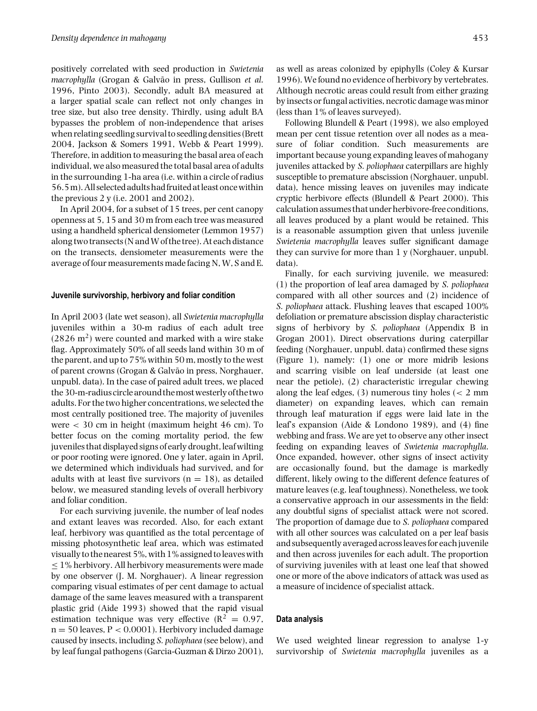positively correlated with seed production in *Swietenia macrophylla* (Grogan & Galvão in press, Gullison et al. 1996, Pinto 2003). Secondly, adult BA measured at a larger spatial scale can reflect not only changes in tree size, but also tree density. Thirdly, using adult BA bypasses the problem of non-independence that arises when relating seedling survival to seedling densities (Brett 2004, Jackson & Somers 1991, Webb & Peart 1999). Therefore, in addition to measuring the basal area of each individual, we also measured the total basal area of adults in the surrounding 1-ha area (i.e. within a circle of radius 56.5m). All selected adults hadfruited atleast oncewithin the previous 2 y (i.e. 2001 and 2002).

In April 2004, for a subset of 15 trees, per cent canopy openness at 5, 15 and 30 m from each tree was measured using a handheld spherical densiometer (Lemmon 1957) along two transects (N andW of the tree). At each distance on the transects, densiometer measurements were the average of four measurements made facing N, W, S and E.

#### **Juvenile survivorship, herbivory and foliar condition**

In April 2003 (late wet season), all *Swietenia macrophylla* juveniles within a 30-m radius of each adult tree  $(2826 \text{ m}^2)$  were counted and marked with a wire stake flag. Approximately 50% of all seeds land within 30 m of the parent, and up to 75% within 50 m, mostly to the west of parent crowns (Grogan & Galvão in press, Norghauer, unpubl. data). In the case of paired adult trees, we placed the30-m-radiuscircle around themostwesterly of the two adults. For the two higher concentrations, we selected the most centrally positioned tree. The majority of juveniles were < 30 cm in height (maximum height 46 cm). To better focus on the coming mortality period, the few juveniles that displayed signs of early drought, leaf wilting or poor rooting were ignored. One y later, again in April, we determined which individuals had survived, and for adults with at least five survivors  $(n = 18)$ , as detailed below, we measured standing levels of overall herbivory and foliar condition.

For each surviving juvenile, the number of leaf nodes and extant leaves was recorded. Also, for each extant leaf, herbivory was quantified as the total percentage of missing photosynthetic leaf area, which was estimated visually to the nearest 5%, with  $1\%$  assigned to leaves with  $\leq$  1% herbivory. All herbivory measurements were made by one observer (J. M. Norghauer). A linear regression comparing visual estimates of per cent damage to actual damage of the same leaves measured with a transparent plastic grid (Aide 1993) showed that the rapid visual estimation technique was very effective  $(R^2 = 0.97,$  $n = 50$  leaves,  $P < 0.0001$ ). Herbivory included damage caused by insects, including *S. poliophaea* (see below), and by leaf fungal pathogens (Garcia-Guzman & Dirzo 2001),

as well as areas colonized by epiphylls (Coley & Kursar 1996).We found no evidence of herbivory by vertebrates. Although necrotic areas could result from either grazing by insects or fungal activities, necrotic damage was minor (less than 1% of leaves surveyed).

Following Blundell & Peart (1998), we also employed mean per cent tissue retention over all nodes as a measure of foliar condition. Such measurements are important because young expanding leaves of mahogany juveniles attacked by *S. poliophaea* caterpillars are highly susceptible to premature abscission (Norghauer, unpubl. data), hence missing leaves on juveniles may indicate cryptic herbivore effects (Blundell & Peart 2000). This calculation assumes that under herbivore-free conditions, all leaves produced by a plant would be retained. This is a reasonable assumption given that unless juvenile *Swietenia macrophylla* leaves suffer significant damage they can survive for more than 1 y (Norghauer, unpubl. data).

Finally, for each surviving juvenile, we measured: (1) the proportion of leaf area damaged by *S. poliophaea* compared with all other sources and (2) incidence of *S. poliophaea* attack. Flushing leaves that escaped 100% defoliation or premature abscission display characteristic signs of herbivory by *S. poliophaea* (Appendix B in Grogan 2001). Direct observations during caterpillar feeding (Norghauer, unpubl. data) confirmed these signs (Figure 1), namely: (1) one or more midrib lesions and scarring visible on leaf underside (at least one near the petiole), (2) characteristic irregular chewing along the leaf edges,  $(3)$  numerous tiny holes  $(< 2$  mm diameter) on expanding leaves, which can remain through leaf maturation if eggs were laid late in the leaf's expansion (Aide & Londono 1989), and (4) fine webbing and frass. We are yet to observe any other insect feeding on expanding leaves of *Swietenia macrophylla*. Once expanded, however, other signs of insect activity are occasionally found, but the damage is markedly different, likely owing to the different defence features of mature leaves (e.g. leaf toughness). Nonetheless, we took a conservative approach in our assessments in the field: any doubtful signs of specialist attack were not scored. The proportion of damage due to *S. poliophaea* compared with all other sources was calculated on a per leaf basis and subsequently averaged across leaves for each juvenile and then across juveniles for each adult. The proportion of surviving juveniles with at least one leaf that showed one or more of the above indicators of attack was used as a measure of incidence of specialist attack.

## **Data analysis**

We used weighted linear regression to analyse 1-y survivorship of *Swietenia macrophylla* juveniles as a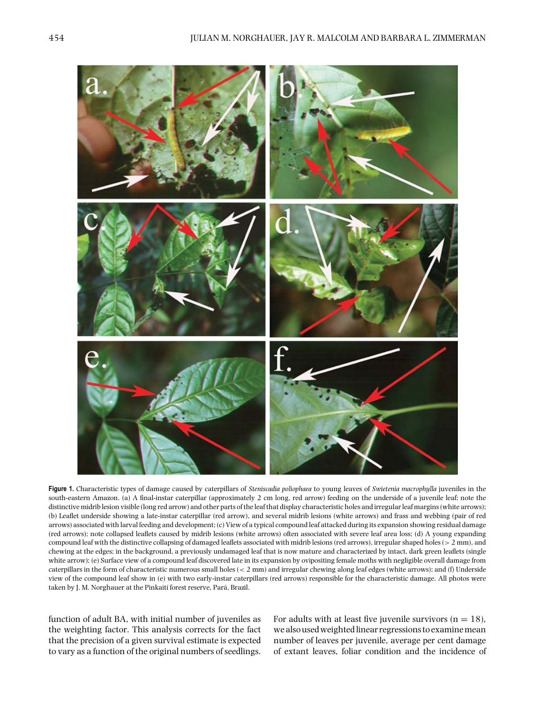

**Figure 1.** Characteristic types of damage caused by caterpillars of *Steniscadia poliophaea* to young leaves of *Swietenia macrophylla* juveniles in the south-eastern Amazon. (a) A final-instar caterpillar (approximately 2 cm long, red arrow) feeding on the underside of a juvenile leaf; note the distinctive midrib lesion visible (long red arrow) and other parts of the leaf that display characteristic holes and irregular leaf margins (white arrows); (b) Leaflet underside showing a late-instar caterpillar (red arrow), and several midrib lesions (white arrows) and frass and webbing (pair of red arrows) associated with larval feeding and development; (c) View of a typical compound leaf attacked during its expansion showing residual damage (red arrows); note collapsed leaflets caused by midrib lesions (white arrows) often associated with severe leaf area loss; (d) A young expanding compound leaf with the distinctive collapsing of damaged leaflets associated with midrib lesions (red arrows), irregular shaped holes (> 2 mm), and chewing at the edges; in the background, a previously undamaged leaf that is now mature and characterized by intact, dark green leaflets (single white arrow); (e) Surface view of a compound leaf discovered late in its expansion by ovipositing female moths with negligible overall damage from caterpillars in the form of characteristic numerous small holes (< 2 mm) and irregular chewing along leaf edges (white arrows); and (f) Underside view of the compound leaf show in (e) with two early-instar caterpillars (red arrows) responsible for the characteristic damage. All photos were taken by J. M. Norghauer at the Pinkaití forest reserve, Pará, Brazil.

function of adult BA, with initial number of juveniles as the weighting factor. This analysis corrects for the fact that the precision of a given survival estimate is expected to vary as a function of the original numbers of seedlings. For adults with at least five juvenile survivors  $(n = 18)$ , we also used weighted linear regressions to examinemean number of leaves per juvenile, average per cent damage of extant leaves, foliar condition and the incidence of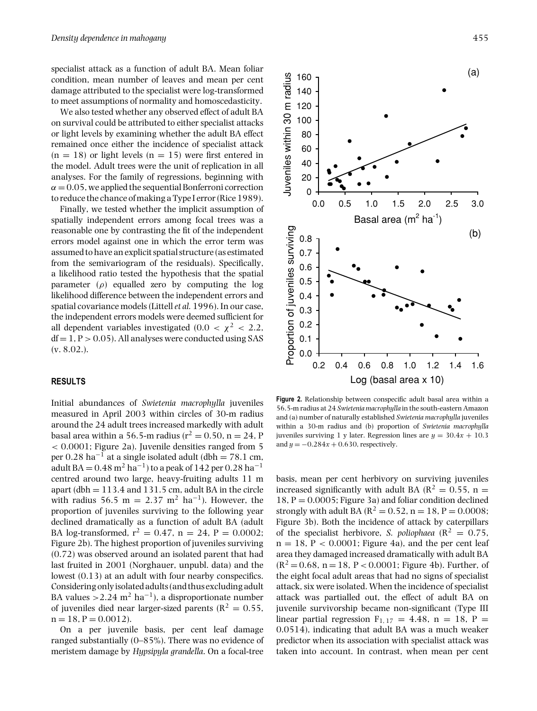specialist attack as a function of adult BA. Mean foliar condition, mean number of leaves and mean per cent damage attributed to the specialist were log-transformed to meet assumptions of normality and homoscedasticity.

We also tested whether any observed effect of adult BA on survival could be attributed to either specialist attacks or light levels by examining whether the adult BA effect remained once either the incidence of specialist attack  $(n = 18)$  or light levels  $(n = 15)$  were first entered in the model. Adult trees were the unit of replication in all analyses. For the family of regressions, beginning with  $\alpha = 0.05$ , we applied the sequential Bonferroni correction to reduce the chance of making a Type I error (Rice 1989).

Finally, we tested whether the implicit assumption of spatially independent errors among focal trees was a reasonable one by contrasting the fit of the independent errors model against one in which the error term was assumed to have an explicit spatial structure (as estimated from the semivariogram of the residuals). Specifically, a likelihood ratio tested the hypothesis that the spatial parameter  $(\rho)$  equalled zero by computing the log likelihood difference between the independent errors and spatial covariance models (Littell*et al.* 1996). In our case, the independent errors models were deemed sufficient for all dependent variables investigated (0.0 <  $\chi^2$  < 2.2,  $df = 1, P > 0.05$ . All analyses were conducted using SAS  $(v. 8.02.)$ .

# **RESULTS**

Initial abundances of *Swietenia macrophylla* juveniles measured in April 2003 within circles of 30-m radius around the 24 adult trees increased markedly with adult basal area within a 56.5-m radius ( $r^2 = 0.50$ , n = 24, P < 0.0001; Figure 2a). Juvenile densities ranged from 5 per 0.28 ha<sup>-1</sup> at a single isolated adult (dbh = 78.1 cm, adult BA =  $0.48$  m<sup>2</sup> ha<sup>-1</sup>) to a peak of 142 per  $0.28$  ha<sup>-1</sup> centred around two large, heavy-fruiting adults 11 m apart (dbh  $= 113.4$  and 131.5 cm, adult BA in the circle with radius 56.5 m = 2.37 m<sup>2</sup> ha<sup>-1</sup>). However, the proportion of juveniles surviving to the following year declined dramatically as a function of adult BA (adult BA log-transformed,  $r^2 = 0.47$ ,  $n = 24$ ,  $P = 0.0002$ ; Figure 2b). The highest proportion of juveniles surviving (0.72) was observed around an isolated parent that had last fruited in 2001 (Norghauer, unpubl. data) and the lowest  $(0.13)$  at an adult with four nearby conspecifics. Considering onlyisolated adults (and thus excluding adult BA values > 2.24 m<sup>2</sup> ha<sup>-1</sup>), a disproportionate number of juveniles died near larger-sized parents ( $R^2 = 0.55$ ,  $n = 18$ ,  $P = 0.0012$ ).

On a per juvenile basis, per cent leaf damage ranged substantially (0–85%). There was no evidence of meristem damage by *Hypsipyla grandella*. On a focal-tree



**Figure 2.** Relationship between conspecific adult basal area within a 56.5-m radius at 24 *Swietenia macrophylla* in the south-eastern Amazon and (a) number of naturally established *Swietenia macrophylla* juveniles within a 30-m radius and (b) proportion of *Swietenia macrophylla* juveniles surviving 1 y later. Regression lines are  $y = 30.4x + 10.3$ and  $y = -0.284x + 0.630$ , respectively.

basis, mean per cent herbivory on surviving juveniles increased significantly with adult BA ( $\mathbb{R}^2 = 0.55$ , n = 18,  $P = 0.0005$ ; Figure 3a) and foliar condition declined strongly with adult BA ( $R^2 = 0.52$ , n = 18, P = 0.0008; Figure 3b). Both the incidence of attack by caterpillars of the specialist herbivore, *S. poliophaea* ( $R^2 = 0.75$ ,  $n = 18$ ,  $P < 0.0001$ ; Figure 4a), and the per cent leaf area they damaged increased dramatically with adult BA  $(R^2 = 0.68, n = 18, P < 0.0001$ ; Figure 4b). Further, of the eight focal adult areas that had no signs of specialist attack, six were isolated. When the incidence of specialist attack was partialled out, the effect of adult BA on juvenile survivorship became non-significant (Type III linear partial regression  $F_{1, 17} = 4.48$ , n = 18, P = 0.0514), indicating that adult BA was a much weaker predictor when its association with specialist attack was taken into account. In contrast, when mean per cent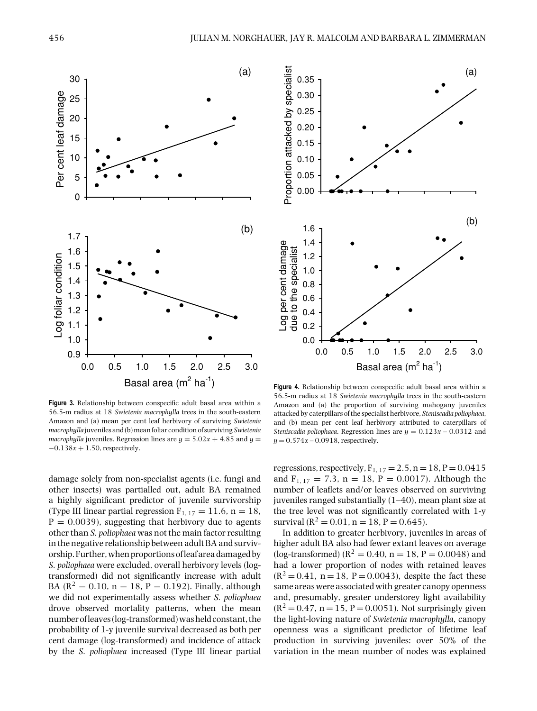

**Figure 3.** Relationship between conspecific adult basal area within a 56.5-m radius at 18 *Swietenia macrophylla* trees in the south-eastern Amazon and (a) mean per cent leaf herbivory of surviving *Swietenia macrophylla* juveniles and (b)meanfoliar condition of surviving*Swietenia macrophylla* juveniles. Regression lines are  $y = 5.02x + 4.85$  and  $y =$ −0.138*x* + 1.50, respectively.

damage solely from non-specialist agents (i.e. fungi and other insects) was partialled out, adult BA remained a highly significant predictor of juvenile survivorship (Type III linear partial regression  $F_{1, 17} = 11.6$ , n = 18,  $P = 0.0039$ , suggesting that herbivory due to agents other than *S. poliophaea* was not the main factor resulting in the negative relationship between adult BA and survivorship. Further, when proportions of leaf area damaged by *S. poliophaea* were excluded, overall herbivory levels (logtransformed) did not significantly increase with adult BA ( $R^2 = 0.10$ ,  $n = 18$ ,  $P = 0.192$ ). Finally, although we did not experimentally assess whether *S. poliophaea* drove observed mortality patterns, when the mean number of leaves (log-transformed) was held constant, the probability of 1-y juvenile survival decreased as both per cent damage (log-transformed) and incidence of attack by the *S. poliophaea* increased (Type III linear partial



**Figure 4.** Relationship between conspecific adult basal area within a 56.5-m radius at 18 *Swietenia macrophylla* trees in the south-eastern Amazon and (a) the proportion of surviving mahogany juveniles attacked by caterpillars of the specialist herbivore, *Steniscadia poliophaea*, and (b) mean per cent leaf herbivory attributed to caterpillars of *Steniscadia poliophaea*. Regression lines are  $y = 0.123x - 0.0312$  and  $y = 0.574x - 0.0918$ , respectively.

regressions, respectively,  $F_{1, 17} = 2.5$ ,  $n = 18$ ,  $P = 0.0415$ and  $F_{1, 17} = 7.3$ ,  $n = 18$ ,  $P = 0.0017$ ). Although the number of leaflets and/or leaves observed on surviving juveniles ranged substantially (1–40), mean plant size at the tree level was not significantly correlated with 1-y survival ( $R^2 = 0.01$ , n = 18, P = 0.645).

In addition to greater herbivory, juveniles in areas of higher adult BA also had fewer extant leaves on average (log-transformed) ( $R^2 = 0.40$ , n = 18, P = 0.0048) and had a lower proportion of nodes with retained leaves  $(R^2 = 0.41, n = 18, P = 0.0043)$ , despite the fact these same areas were associated with greater canopy openness and, presumably, greater understorey light availability  $(R^2 = 0.47, n = 15, P = 0.0051)$ . Not surprisingly given the light-loving nature of *Swietenia macrophylla*, canopy openness was a significant predictor of lifetime leaf production in surviving juveniles: over 50% of the variation in the mean number of nodes was explained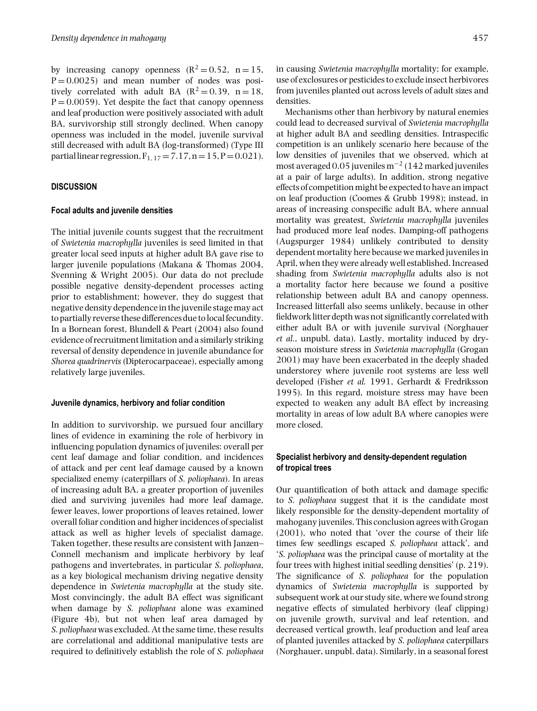by increasing canopy openness  $(R^2 = 0.52, n = 15,$  $P = 0.0025$ ) and mean number of nodes was positively correlated with adult BA  $(R^2 = 0.39, n = 18,$  $P = 0.0059$ . Yet despite the fact that canopy openness and leaf production were positively associated with adult BA, survivorship still strongly declined. When canopy openness was included in the model, juvenile survival still decreased with adult BA (log-transformed) (Type III partial linear regression,  $F_{1, 17} = 7.17$ , n = 15, P = 0.021).

## **DISCUSSION**

### **Focal adults and juvenile densities**

The initial juvenile counts suggest that the recruitment of *Swietenia macrophylla* juveniles is seed limited in that greater local seed inputs at higher adult BA gave rise to larger juvenile populations (Makana & Thomas 2004, Svenning & Wright 2005). Our data do not preclude possible negative density-dependent processes acting prior to establishment; however, they do suggest that negative density dependence in the juvenile stage may act to partially reverse these differences due to local fecundity. In a Bornean forest, Blundell & Peart (2004) also found evidence of recruitment limitation and a similarly striking reversal of density dependence in juvenile abundance for *Shorea quadrinervis* (Dipterocarpaceae), especially among relatively large juveniles.

### **Juvenile dynamics, herbivory and foliar condition**

In addition to survivorship, we pursued four ancillary lines of evidence in examining the role of herbivory in influencing population dynamics of juveniles: overall per cent leaf damage and foliar condition, and incidences of attack and per cent leaf damage caused by a known specialized enemy (caterpillars of *S. poliophaea*). In areas of increasing adult BA, a greater proportion of juveniles died and surviving juveniles had more leaf damage, fewer leaves, lower proportions of leaves retained, lower overall foliar condition and higher incidences of specialist attack as well as higher levels of specialist damage. Taken together, these results are consistent with Janzen– Connell mechanism and implicate herbivory by leaf pathogens and invertebrates, in particular *S. poliophaea*, as a key biological mechanism driving negative density dependence in *Swietenia macrophylla* at the study site. Most convincingly, the adult BA effect was significant when damage by *S. poliophaea* alone was examined (Figure 4b), but not when leaf area damaged by *S. poliophaea* was excluded. At the same time, these results are correlational and additional manipulative tests are required to definitively establish the role of *S. poliophaea*

in causing *Swietenia macrophylla* mortality; for example, use of exclosures or pesticides to exclude insect herbivores from juveniles planted out across levels of adult sizes and densities.

Mechanisms other than herbivory by natural enemies could lead to decreased survival of *Swietenia macrophylla* at higher adult BA and seedling densities. Intraspecific competition is an unlikely scenario here because of the low densities of juveniles that we observed, which at most averaged 0.05 juveniles m−<sup>2</sup> (142 marked juveniles at a pair of large adults). In addition, strong negative effects of competition might be expected to have an impact on leaf production (Coomes & Grubb 1998); instead, in areas of increasing conspecific adult BA, where annual mortality was greatest, *Swietenia macrophylla* juveniles had produced more leaf nodes. Damping-off pathogens (Augspurger 1984) unlikely contributed to density dependent mortality here because we marked juveniles in April, when they were already well established. Increased shading from *Swietenia macrophylla* adults also is not a mortality factor here because we found a positive relationship between adult BA and canopy openness. Increased litterfall also seems unlikely, because in other fieldwork litter depth was not significantly correlated with either adult BA or with juvenile survival (Norghauer *et al.*, unpubl. data). Lastly, mortality induced by dryseason moisture stress in *Swietenia macrophylla* (Grogan 2001) may have been exacerbated in the deeply shaded understorey where juvenile root systems are less well developed (Fisher *et al.* 1991, Gerhardt & Fredriksson 1995). In this regard, moisture stress may have been expected to weaken any adult BA effect by increasing mortality in areas of low adult BA where canopies were more closed.

# **Specialist herbivory and density-dependent regulation of tropical trees**

Our quantification of both attack and damage specific to *S. poliophaea* suggest that it is the candidate most likely responsible for the density-dependent mortality of mahogany juveniles. This conclusion agrees with Grogan (2001), who noted that 'over the course of their life times few seedlings escaped *S. poliophaea* attack', and '*S. poliophaea* was the principal cause of mortality at the four trees with highest initial seedling densities' (p. 219). The significance of *S. poliophaea* for the population dynamics of *Swietenia macrophylla* is supported by subsequent work at our study site, where we found strong negative effects of simulated herbivory (leaf clipping) on juvenile growth, survival and leaf retention, and decreased vertical growth, leaf production and leaf area of planted juveniles attacked by *S. poliophaea* caterpillars (Norghauer, unpubl. data). Similarly, in a seasonal forest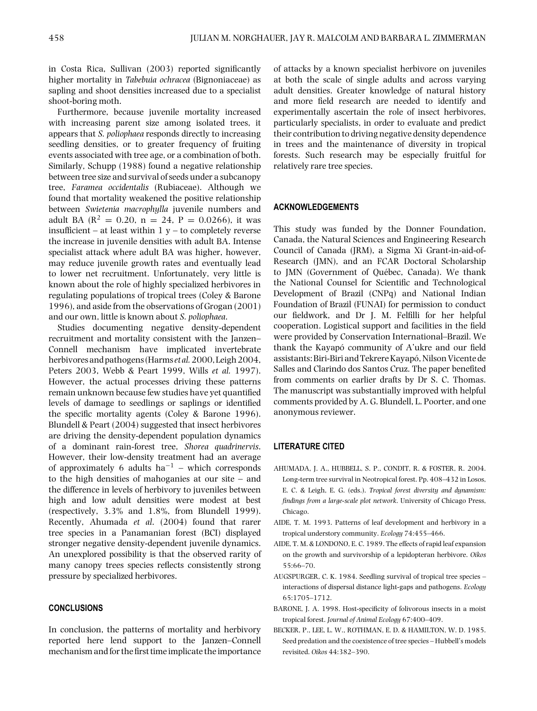in Costa Rica, Sullivan (2003) reported significantly higher mortality in *Tabebuia ochracea* (Bignoniaceae) as sapling and shoot densities increased due to a specialist shoot-boring moth.

Furthermore, because juvenile mortality increased with increasing parent size among isolated trees, it appears that *S. poliophaea* responds directly to increasing seedling densities, or to greater frequency of fruiting events associated with tree age, or a combination of both. Similarly, Schupp (1988) found a negative relationship between tree size and survival of seeds under a subcanopy tree, *Faramea occidentalis* (Rubiaceae). Although we found that mortality weakened the positive relationship between *Swietenia macrophylla* juvenile numbers and adult BA ( $\mathbb{R}^2 = 0.20$ ,  $n = 24$ ,  $P = 0.0266$ ), it was insufficient – at least within  $1 y -$  to completely reverse the increase in juvenile densities with adult BA. Intense specialist attack where adult BA was higher, however, may reduce juvenile growth rates and eventually lead to lower net recruitment. Unfortunately, very little is known about the role of highly specialized herbivores in regulating populations of tropical trees (Coley & Barone 1996), and aside from the observations of Grogan (2001) and our own, little is known about *S. poliophaea*.

Studies documenting negative density-dependent recruitment and mortality consistent with the Janzen– Connell mechanism have implicated invertebrate herbivores and pathogens (Harms *et al.* 2000, Leigh 2004, Peters 2003, Webb & Peart 1999, Wills *et al.* 1997). However, the actual processes driving these patterns remain unknown because few studies have yet quantified levels of damage to seedlings or saplings or identified the specific mortality agents (Coley & Barone 1996). Blundell & Peart (2004) suggested that insect herbivores are driving the density-dependent population dynamics of a dominant rain-forest tree, *Shorea quadrinervis*. However, their low-density treatment had an average of approximately 6 adults ha<sup>-1</sup> – which corresponds to the high densities of mahoganies at our site – and the difference in levels of herbivory to juveniles between high and low adult densities were modest at best (respectively, 3.3% and 1.8%, from Blundell 1999). Recently, Ahumada *et al*. (2004) found that rarer tree species in a Panamanian forest (BCI) displayed stronger negative density-dependent juvenile dynamics. An unexplored possibility is that the observed rarity of many canopy trees species reflects consistently strong pressure by specialized herbivores.

## **CONCLUSIONS**

In conclusion, the patterns of mortality and herbivory reported here lend support to the Janzen–Connell mechanism and for the first time implicate the importance

of attacks by a known specialist herbivore on juveniles at both the scale of single adults and across varying adult densities. Greater knowledge of natural history and more field research are needed to identify and experimentally ascertain the role of insect herbivores, particularly specialists, in order to evaluate and predict their contribution to driving negative density dependence in trees and the maintenance of diversity in tropical forests. Such research may be especially fruitful for relatively rare tree species.

## **ACKNOWLEDGEMENTS**

This study was funded by the Donner Foundation, Canada, the Natural Sciences and Engineering Research Council of Canada (JRM), a Sigma Xi Grant-in-aid-of-Research (JMN), and an FCAR Doctoral Scholarship to JMN (Government of Québec, Canada). We thank the National Counsel for Scientific and Technological Development of Brazil (CNPq) and National Indian Foundation of Brazil (FUNAI) for permission to conduct our fieldwork, and Dr J. M. Felfilli for her helpful cooperation. Logistical support and facilities in the field were provided by Conservation International–Brazil. We thank the Kayapó community of A'ukre and our field assistants: Biri-Biri and Tekrere Kayapó, Nilson Vicente de Salles and Clarindo dos Santos Cruz. The paper benefited from comments on earlier drafts by Dr S. C. Thomas. The manuscript was substantially improved with helpful comments provided by A. G. Blundell, L. Poorter, and one anonymous reviewer.

## **LITERATURE CITED**

- AHUMADA, J. A., HUBBELL, S. P., CONDIT, R. & FOSTER, R. 2004. Long-term tree survival in Neotropical forest. Pp. 408–432 in Losos, E. C. & Leigh, E. G. (eds.). *Tropical forest diversity and dynamism: findings from a large-scale plot network*. University of Chicago Press, Chicago.
- AIDE, T. M. 1993. Patterns of leaf development and herbivory in a tropical understory community. *Ecology* 74:455–466.
- AIDE, T. M. & LONDONO, E. C. 1989. The effects of rapid leaf expansion on the growth and survivorship of a lepidopteran herbivore. *Oikos* 55:66–70.
- AUGSPURGER, C. K. 1984. Seedling survival of tropical tree species interactions of dispersal distance light-gaps and pathogens. *Ecology* 65:1705–1712.
- BARONE, J. A. 1998. Host-specificity of folivorous insects in a moist tropical forest. *Journal of Animal Ecology* 67:400–409.
- BECKER, P., LEE, L. W., ROTHMAN, E. D. & HAMILTON, W. D. 1985. Seed predation and the coexistence of tree species – Hubbell's models revisited. *Oikos* 44:382–390.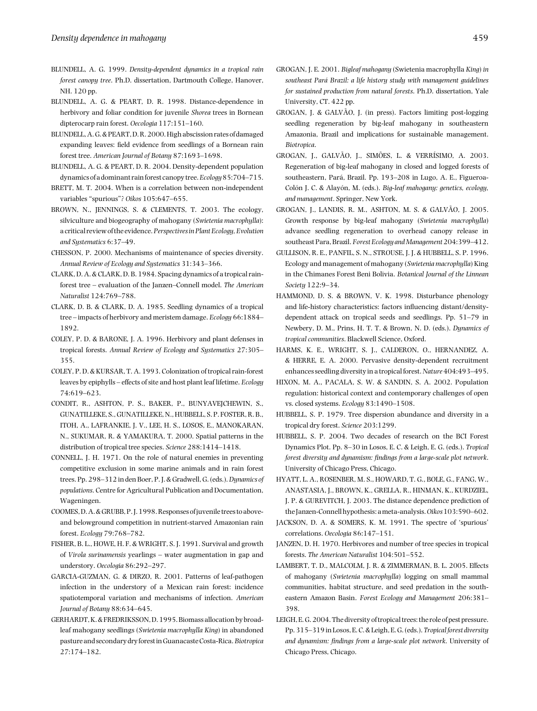- BLUNDELL, A. G. 1999. *Density-dependent dynamics in a tropical rain forest canopy tree*. Ph.D. dissertation, Dartmouth College, Hanover, NH. 120 pp.
- BLUNDELL, A. G. & PEART, D. R. 1998. Distance-dependence in herbivory and foliar condition for juvenile *Shorea* trees in Bornean dipterocarp rain forest. *Oecologia* 117:151–160.
- BLUNDELL, A.G.& PEART,D.R. 2000. High abscission rates of damaged expanding leaves: field evidence from seedlings of a Bornean rain forest tree. *American Journal of Botany* 87:1693–1698.
- BLUNDELL, A. G. & PEART, D. R. 2004. Density-dependent population dynamics of a dominant rainforest canopy tree.*Ecology*85:704–715.
- BRETT, M. T. 2004. When is a correlation between non-independent variables "spurious"? *Oikos* 105:647–655.
- BROWN, N., JENNINGS, S. & CLEMENTS, T. 2003. The ecology, silviculture and biogeography of mahogany (*Swietenia macrophylla*): a critical review of the evidence.*Perspectivesin Plant Ecology, Evolution and Systematics* 6:37–49.
- CHESSON, P. 2000. Mechanisms of maintenance of species diversity. *Annual Review of Ecology and Systematics* 31:343–366.
- CLARK, D. A. & CLARK, D. B. 1984. Spacing dynamics of a tropical rainforest tree – evaluation of the Janzen–Connell model. *The American Naturalist* 124:769–788.
- CLARK, D. B. & CLARK, D. A. 1985. Seedling dynamics of a tropical tree – impacts of herbivory and meristem damage. *Ecology* 66:1884– 1892.
- COLEY, P. D. & BARONE, J. A. 1996. Herbivory and plant defenses in tropical forests. *Annual Review of Ecology and Systematics* 27:305– 355.
- COLEY, P. D. & KURSAR, T. A. 1993. Colonization of tropical rain-forest leaves by epiphylls – effects of site and host plant leaf lifetime. *Ecology* 74:619–623.
- CONDIT, R., ASHTON, P. S., BAKER, P., BUNYAVEJCHEWIN, S., GUNATILLEKE, S., GUNATILLEKE, N., HUBBELL, S. P. FOSTER, R. B., ITOH, A., LAFRANKIE, J. V., LEE, H. S., LOSOS, E., MANOKARAN, N., SUKUMAR, R. & YAMAKURA, T. 2000. Spatial patterns in the distribution of tropical tree species. *Science* 288:1414–1418.
- CONNELL, J. H. 1971. On the role of natural enemies in preventing competitive exclusion in some marine animals and in rain forest trees. Pp. 298–312 in den Boer, P. J. & Gradwell, G. (eds.).*Dynamics of populations*. Centre for Agricultural Publication and Documentation, Wageningen.
- COOMES,D. A.&GRUBB, P. J. 1998.Responses ofjuvenile trees to aboveand belowground competition in nutrient-starved Amazonian rain forest. *Ecology* 79:768–782.
- FISHER, B. L., HOWE, H. F. & WRIGHT, S. J. 1991. Survival and growth of *Virola surinamensis* yearlings – water augmentation in gap and understory. *Oecologia* 86:292–297.
- GARCIA-GUZMAN, G. & DIRZO, R. 2001. Patterns of leaf-pathogen infection in the understory of a Mexican rain forest: incidence spatiotemporal variation and mechanisms of infection. *American Journal of Botany* 88:634–645.
- GERHARDT,K.& FREDRIKSSON,D. 1995. Biomass allocation by broadleaf mahogany seedlings (*Swietenia macrophylla King*) in abandoned pasture and secondary dryforestinGuanacasteCosta-Rica.*Biotropica* 27:174–182.
- GROGAN, J. E. 2001. *Bigleaf mahogany* (Swietenia macrophylla *King*) *in southeast Para Brazil: a life history study with management guidelines ´ for sustained production from natural forests*. Ph.D. dissertation, Yale University, CT. 422 pp.
- GROGAN, J. & GALVÃO, J. (in press). Factors limiting post-logging seedling regeneration by big-leaf mahogany in southeastern Amazonia, Brazil and implications for sustainable management. *Biotropica*.
- GROGAN, J., GALVÃO, J., SIMÕES, L. & VERRÍSIMO, A. 2003. Regeneration of big-leaf mahogany in closed and logged forests of southeastern, Pará, Brazil. Pp. 193-208 in Lugo, A. E., Figueroa-Colón J. C. & Alayón, M. (eds.). Big-leaf mahogany: genetics, ecology, *and management*. Springer, New York.
- GROGAN, J., LANDIS, R. M., ASHTON, M. S. & GALVÃO, J. 2005. Growth response by big-leaf mahogany (*Swietenia macrophylla*) advance seedling regeneration to overhead canopy release in southeast Para, Brazil.*Forest Ecology andManagement*204:399–412.
- GULLISON, R. E., PANFIL, S. N., STROUSE, J. J. & HUBBELL, S. P. 1996. Ecology and management of mahogany (*Swietenia macrophylla*) King in the Chimanes Forest Beni Bolivia. *Botanical Journal of the Linnean Society* 122:9–34.
- HAMMOND, D. S. & BROWN, V. K. 1998. Disturbance phenology and life-history characteristics: factors influencing distant/densitydependent attack on tropical seeds and seedlings. Pp. 51–79 in Newbery, D. M., Prins, H. T. T. & Brown, N. D. (eds.). *Dynamics of tropical communities*. Blackwell Science, Oxford.
- HARMS, K. E., WRIGHT, S. J., CALDERON, O., HERNANDEZ, A. & HERRE, E. A. 2000. Pervasive density-dependent recruitment enhances seedling diversity in a tropical forest.*Nature*404:493–495.
- HIXON, M. A., PACALA, S. W. & SANDIN, S. A. 2002. Population regulation: historical context and contemporary challenges of open vs. closed systems. *Ecology* 83:1490–1508.
- HUBBELL, S. P. 1979. Tree dispersion abundance and diversity in a tropical dry forest. *Science* 203:1299.
- HUBBELL, S. P. 2004. Two decades of research on the BCI Forest Dynamics Plot. Pp. 8–30 in Losos, E. C. & Leigh, E. G. (eds.). *Tropical forest diversity and dynamism: findings from a large-scale plot network*. University of Chicago Press, Chicago.
- HYATT, L. A., ROSENBER, M. S., HOWARD, T. G., BOLE, G., FANG, W., ANASTASIA, J., BROWN, K., GRELLA, R., HINMAN, K., KURDZIEL, J. P. & GUREVITCH, J. 2003. The distance dependence prediction of the Janzen-Connell hypothesis: ameta-analysis.*Oikos*103:590–602.
- JACKSON, D. A. & SOMERS, K. M. 1991. The spectre of 'spurious' correlations. *Oecologia* 86:147–151.
- JANZEN, D. H. 1970. Herbivores and number of tree species in tropical forests. *The American Naturalist* 104:501–552.
- LAMBERT, T. D., MALCOLM, J. R. & ZIMMERMAN, B. L. 2005. Effects of mahogany (*Swietenia macrophylla*) logging on small mammal communities, habitat structure, and seed predation in the southeastern Amazon Basin. *Forest Ecology and Management* 206:381– 398.
- LEIGH, E. G. 2004. The diversity of tropical trees: the role of pest pressure. Pp. 315–319 in Losos, E. C. & Leigh, E. G. (eds.). *Tropical forest diversity and dynamism: findings from a large-scale plot network*. University of Chicago Press, Chicago.